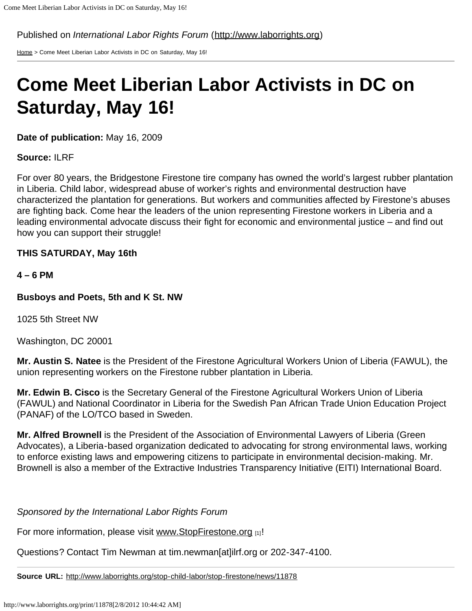Published on *International Labor Rights Forum* ([http://www.laborrights.org\)](http://www.laborrights.org/)

[Home](http://www.laborrights.org/) > Come Meet Liberian Labor Activists in DC on Saturday, May 16!

## **Come Meet Liberian Labor Activists in DC on Saturday, May 16!**

**Date of publication:** May 16, 2009

**Source:** ILRF

For over 80 years, the Bridgestone Firestone tire company has owned the world's largest rubber plantation in Liberia. Child labor, widespread abuse of worker's rights and environmental destruction have characterized the plantation for generations. But workers and communities affected by Firestone's abuses are fighting back. Come hear the leaders of the union representing Firestone workers in Liberia and a leading environmental advocate discuss their fight for economic and environmental justice – and find out how you can support their struggle!

## **THIS SATURDAY, May 16th**

**4 – 6 PM**

**Busboys and Poets, 5th and K St. NW**

1025 5th Street NW

Washington, DC 20001

**Mr. Austin S. Natee** is the President of the Firestone Agricultural Workers Union of Liberia (FAWUL), the union representing workers on the Firestone rubber plantation in Liberia.

**Mr. Edwin B. Cisco** is the Secretary General of the Firestone Agricultural Workers Union of Liberia (FAWUL) and National Coordinator in Liberia for the Swedish Pan African Trade Union Education Project (PANAF) of the LO/TCO based in Sweden.

**Mr. Alfred Brownell** is the President of the Association of Environmental Lawyers of Liberia (Green Advocates), a Liberia-based organization dedicated to advocating for strong environmental laws, working to enforce existing laws and empowering citizens to participate in environmental decision-making. Mr. Brownell is also a member of the Extractive Industries Transparency Initiative (EITI) International Board.

*Sponsored by the International Labor Rights Forum*

For more information, please visit [www.StopFirestone.org](http://www.stopfirestone.org/) [1]!

Questions? Contact Tim Newman at tim.newman[at]ilrf.org or 202-347-4100.

**Source URL:** <http://www.laborrights.org/stop-child-labor/stop-firestone/news/11878>